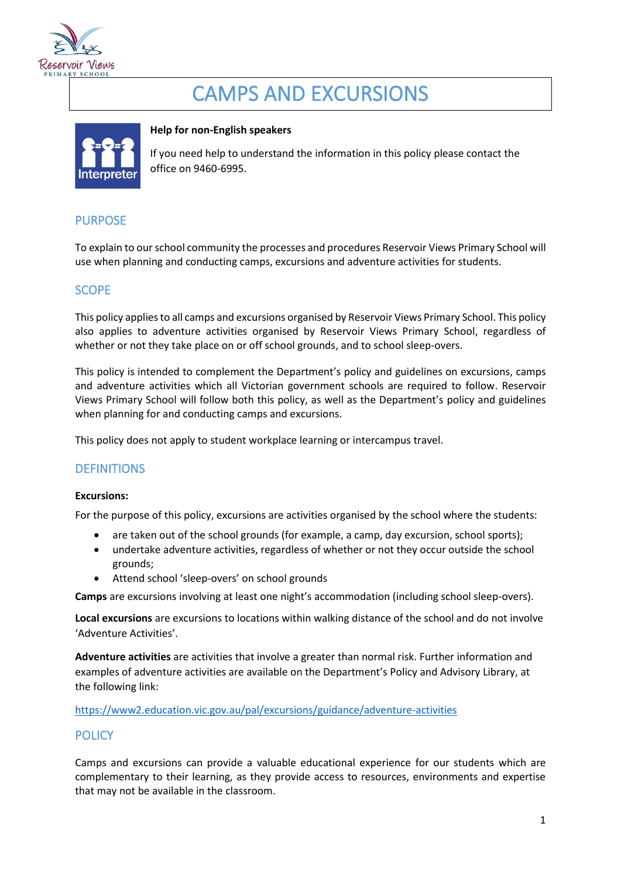

# CAMPS AND EXCURSIONS



#### **Help for non-English speakers**

If you need help to understand the information in this policy please contact the office on 9460-6995.

# PURPOSE

To explain to our school community the processes and procedures Reservoir Views Primary School will use when planning and conducting camps, excursions and adventure activities for students.

# **SCOPE**

This policy applies to all camps and excursions organised by Reservoir Views Primary School. This policy also applies to adventure activities organised by Reservoir Views Primary School, regardless of whether or not they take place on or off school grounds, and to school sleep-overs.

This policy is intended to complement the Department's policy and guidelines on excursions, camps and adventure activities which all Victorian government schools are required to follow. Reservoir Views Primary School will follow both this policy, as well as the Department's policy and guidelines when planning for and conducting camps and excursions.

This policy does not apply to student workplace learning or intercampus travel.

# **DEFINITIONS**

#### **Excursions:**

For the purpose of this policy, excursions are activities organised by the school where the students:

- are taken out of the school grounds (for example, a camp, day excursion, school sports);
- undertake adventure activities, regardless of whether or not they occur outside the school grounds;
- Attend school 'sleep-overs' on school grounds

**Camps** are excursions involving at least one night's accommodation (including school sleep-overs).

**Local excursions** are excursions to locations within walking distance of the school and do not involve 'Adventure Activities'.

**Adventure activities** are activities that involve a greater than normal risk. Further information and examples of adventure activities are available on the Department's Policy and Advisory Library, at the following link:

<https://www2.education.vic.gov.au/pal/excursions/guidance/adventure-activities>

# **POLICY**

Camps and excursions can provide a valuable educational experience for our students which are complementary to their learning, as they provide access to resources, environments and expertise that may not be available in the classroom.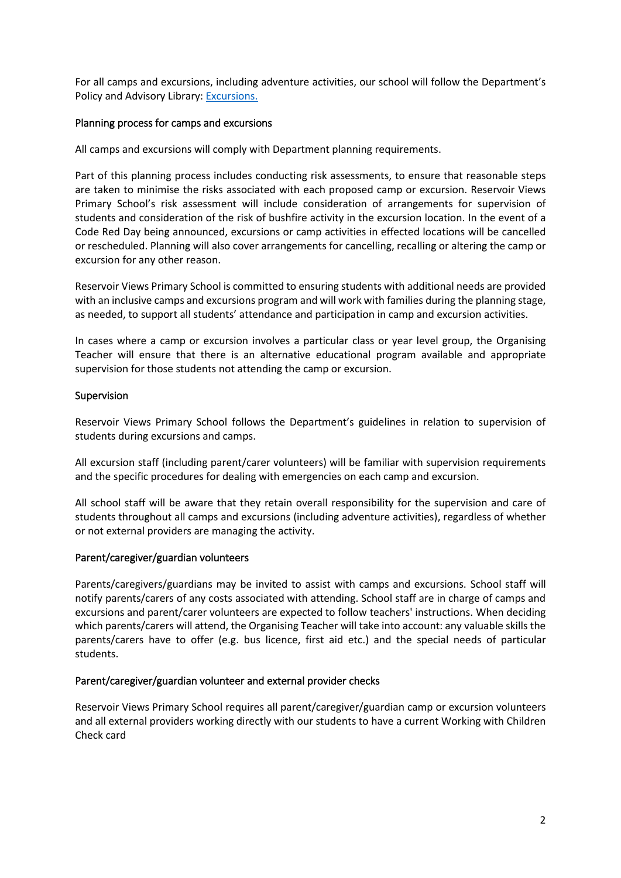For all camps and excursions, including adventure activities, our school will follow the Department's Policy and Advisory Library: [Excursions.](https://www2.education.vic.gov.au/pal/excursions/policy)

#### Planning process for camps and excursions

All camps and excursions will comply with Department planning requirements.

Part of this planning process includes conducting risk assessments, to ensure that reasonable steps are taken to minimise the risks associated with each proposed camp or excursion. Reservoir Views Primary School's risk assessment will include consideration of arrangements for supervision of students and consideration of the risk of bushfire activity in the excursion location. In the event of a Code Red Day being announced, excursions or camp activities in effected locations will be cancelled or rescheduled. Planning will also cover arrangements for cancelling, recalling or altering the camp or excursion for any other reason.

Reservoir Views Primary School is committed to ensuring students with additional needs are provided with an inclusive camps and excursions program and will work with families during the planning stage, as needed, to support all students' attendance and participation in camp and excursion activities.

In cases where a camp or excursion involves a particular class or year level group, the Organising Teacher will ensure that there is an alternative educational program available and appropriate supervision for those students not attending the camp or excursion.

#### Supervision

Reservoir Views Primary School follows the Department's guidelines in relation to supervision of students during excursions and camps.

All excursion staff (including parent/carer volunteers) will be familiar with supervision requirements and the specific procedures for dealing with emergencies on each camp and excursion.

All school staff will be aware that they retain overall responsibility for the supervision and care of students throughout all camps and excursions (including adventure activities), regardless of whether or not external providers are managing the activity.

#### Parent/caregiver/guardian volunteers

Parents/caregivers/guardians may be invited to assist with camps and excursions. School staff will notify parents/carers of any costs associated with attending. School staff are in charge of camps and excursions and parent/carer volunteers are expected to follow teachers' instructions. When deciding which parents/carers will attend, the Organising Teacher will take into account: any valuable skills the parents/carers have to offer (e.g. bus licence, first aid etc.) and the special needs of particular students.

#### Parent/caregiver/guardian volunteer and external provider checks

Reservoir Views Primary School requires all parent/caregiver/guardian camp or excursion volunteers and all external providers working directly with our students to have a current Working with Children Check card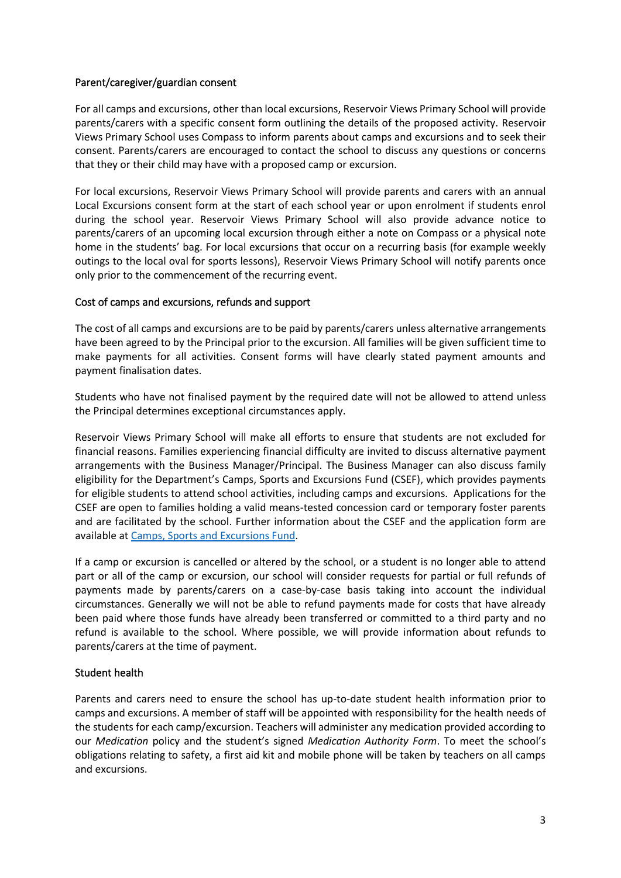#### Parent/caregiver/guardian consent

For all camps and excursions, other than local excursions, Reservoir Views Primary School will provide parents/carers with a specific consent form outlining the details of the proposed activity. Reservoir Views Primary School uses Compass to inform parents about camps and excursions and to seek their consent. Parents/carers are encouraged to contact the school to discuss any questions or concerns that they or their child may have with a proposed camp or excursion.

For local excursions, Reservoir Views Primary School will provide parents and carers with an annual Local Excursions consent form at the start of each school year or upon enrolment if students enrol during the school year. Reservoir Views Primary School will also provide advance notice to parents/carers of an upcoming local excursion through either a note on Compass or a physical note home in the students' bag. For local excursions that occur on a recurring basis (for example weekly outings to the local oval for sports lessons), Reservoir Views Primary School will notify parents once only prior to the commencement of the recurring event.

#### Cost of camps and excursions, refunds and support

The cost of all camps and excursions are to be paid by parents/carers unless alternative arrangements have been agreed to by the Principal prior to the excursion. All families will be given sufficient time to make payments for all activities. Consent forms will have clearly stated payment amounts and payment finalisation dates.

Students who have not finalised payment by the required date will not be allowed to attend unless the Principal determines exceptional circumstances apply.

Reservoir Views Primary School will make all efforts to ensure that students are not excluded for financial reasons. Families experiencing financial difficulty are invited to discuss alternative payment arrangements with the Business Manager/Principal. The Business Manager can also discuss family eligibility for the Department's Camps, Sports and Excursions Fund (CSEF), which provides payments for eligible students to attend school activities, including camps and excursions. Applications for the CSEF are open to families holding a valid means-tested concession card or temporary foster parents and are facilitated by the school. Further information about the CSEF and the application form are available a[t Camps, Sports and Excursions Fund.](https://www2.education.vic.gov.au/pal/camps-sports-and-excursions-fund/policy)

If a camp or excursion is cancelled or altered by the school, or a student is no longer able to attend part or all of the camp or excursion, our school will consider requests for partial or full refunds of payments made by parents/carers on a case-by-case basis taking into account the individual circumstances. Generally we will not be able to refund payments made for costs that have already been paid where those funds have already been transferred or committed to a third party and no refund is available to the school. Where possible, we will provide information about refunds to parents/carers at the time of payment.

#### Student health

Parents and carers need to ensure the school has up-to-date student health information prior to camps and excursions. A member of staff will be appointed with responsibility for the health needs of the students for each camp/excursion. Teachers will administer any medication provided according to our *Medication* policy and the student's signed *Medication Authority Form*. To meet the school's obligations relating to safety, a first aid kit and mobile phone will be taken by teachers on all camps and excursions.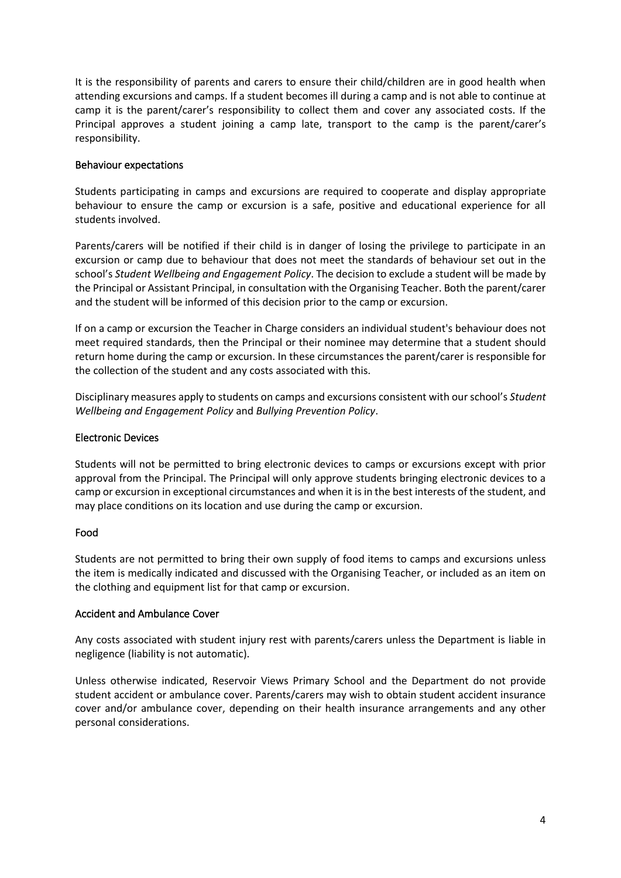It is the responsibility of parents and carers to ensure their child/children are in good health when attending excursions and camps. If a student becomes ill during a camp and is not able to continue at camp it is the parent/carer's responsibility to collect them and cover any associated costs. If the Principal approves a student joining a camp late, transport to the camp is the parent/carer's responsibility.

#### Behaviour expectations

Students participating in camps and excursions are required to cooperate and display appropriate behaviour to ensure the camp or excursion is a safe, positive and educational experience for all students involved.

Parents/carers will be notified if their child is in danger of losing the privilege to participate in an excursion or camp due to behaviour that does not meet the standards of behaviour set out in the school's *Student Wellbeing and Engagement Policy*. The decision to exclude a student will be made by the Principal or Assistant Principal, in consultation with the Organising Teacher. Both the parent/carer and the student will be informed of this decision prior to the camp or excursion.

If on a camp or excursion the Teacher in Charge considers an individual student's behaviour does not meet required standards, then the Principal or their nominee may determine that a student should return home during the camp or excursion. In these circumstances the parent/carer is responsible for the collection of the student and any costs associated with this.

Disciplinary measures apply to students on camps and excursions consistent with our school's *Student Wellbeing and Engagement Policy* and *Bullying Prevention Policy*.

#### Electronic Devices

Students will not be permitted to bring electronic devices to camps or excursions except with prior approval from the Principal. The Principal will only approve students bringing electronic devices to a camp or excursion in exceptional circumstances and when it is in the best interests of the student, and may place conditions on its location and use during the camp or excursion.

#### Food

Students are not permitted to bring their own supply of food items to camps and excursions unless the item is medically indicated and discussed with the Organising Teacher, or included as an item on the clothing and equipment list for that camp or excursion.

#### Accident and Ambulance Cover

Any costs associated with student injury rest with parents/carers unless the Department is liable in negligence (liability is not automatic).

Unless otherwise indicated, Reservoir Views Primary School and the Department do not provide student accident or ambulance cover. Parents/carers may wish to obtain student accident insurance cover and/or ambulance cover, depending on their health insurance arrangements and any other personal considerations.